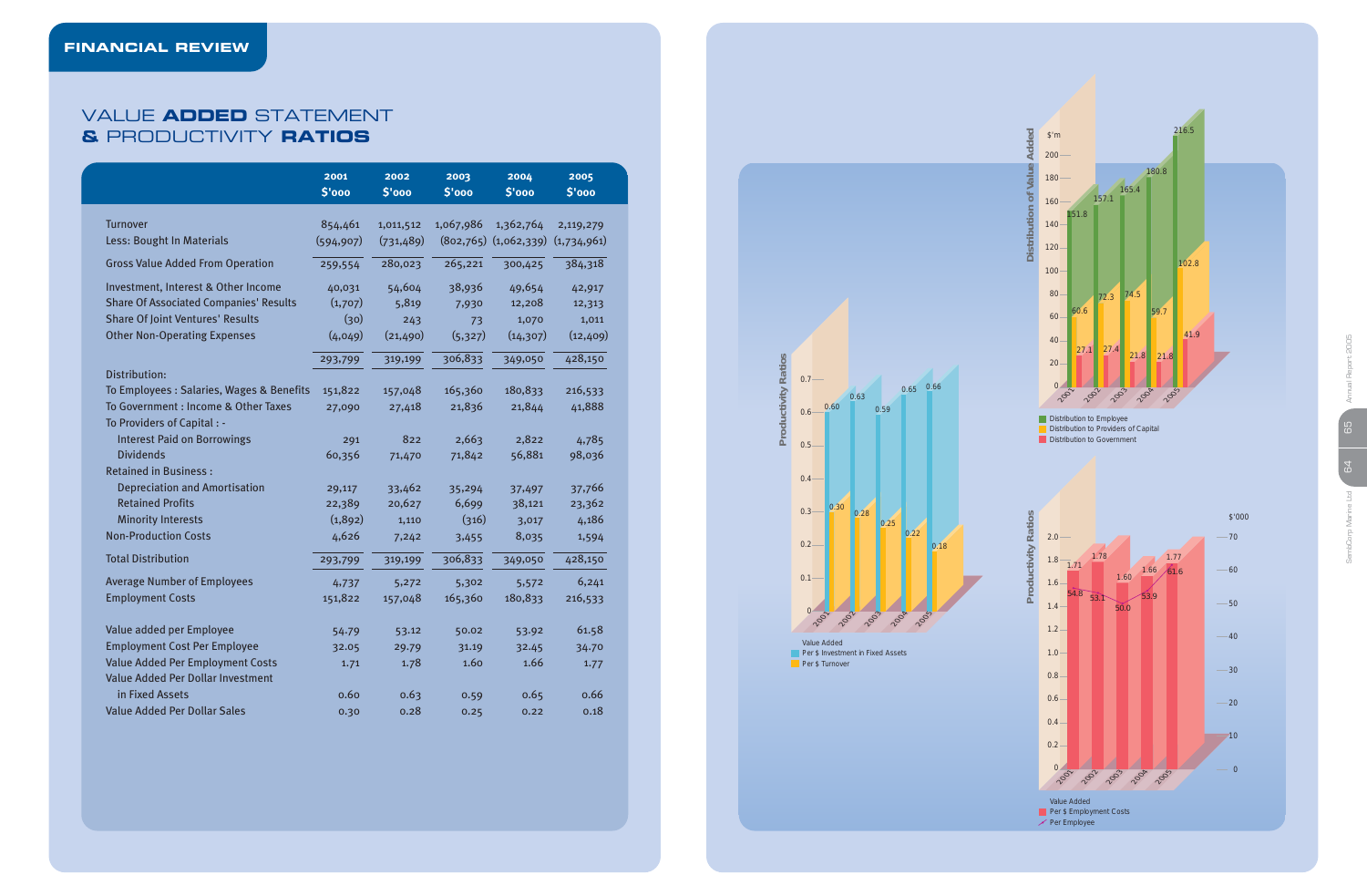|                                               | 2001<br>\$'000 | 2002<br>\$'000 | 2003<br>\$'000 | 2004<br>\$'000            | 2005<br>\$'000 |
|-----------------------------------------------|----------------|----------------|----------------|---------------------------|----------------|
| <b>Turnover</b>                               | 854,461        | 1,011,512      | 1,067,986      | 1,362,764                 | 2,119,279      |
| Less: Bought In Materials                     | (594, 907)     | (731, 489)     |                | $(802,765)$ $(1,062,339)$ | (1,734,961)    |
| <b>Gross Value Added From Operation</b>       | 259,554        | 280,023        | 265,221        | 300,425                   | 384,318        |
| Investment, Interest & Other Income           | 40,031         | 54,604         | 38,936         | 49,654                    | 42,917         |
| <b>Share Of Associated Companies' Results</b> | (1,707)        | 5,819          | 7,930          | 12,208                    | 12,313         |
| <b>Share Of Joint Ventures' Results</b>       | (30)           | 243            | 73             | 1,070                     | 1,011          |
| <b>Other Non-Operating Expenses</b>           | (4,049)        | (21, 490)      | (5, 327)       | (14, 307)                 | (12, 409)      |
|                                               | 293,799        | 319,199        | 306,833        | 349,050                   | 428,150        |
| Distribution:                                 |                |                |                |                           |                |
| To Employees : Salaries, Wages & Benefits     | 151,822        | 157,048        | 165,360        | 180,833                   | 216,533        |
| To Government : Income & Other Taxes          | 27,090         | 27,418         | 21,836         | 21,844                    | 41,888         |
| To Providers of Capital : -                   |                |                |                |                           |                |
| <b>Interest Paid on Borrowings</b>            | 291            | 822            | 2,663          | 2,822                     | 4,785          |
| <b>Dividends</b>                              | 60,356         | 71,470         | 71,842         | 56,881                    | 98,036         |
| <b>Retained in Business:</b>                  |                |                |                |                           |                |
| <b>Depreciation and Amortisation</b>          | 29,117         | 33,462         | 35,294         | 37,497                    | 37,766         |
| <b>Retained Profits</b>                       | 22,389         | 20,627         | 6,699          | 38,121                    | 23,362         |
| <b>Minority Interests</b>                     | (1,892)        | 1,110          | (316)          | 3,017                     | 4,186          |
| <b>Non-Production Costs</b>                   | 4,626          | 7,242          | 3,455          | 8,035                     | 1,594          |
| <b>Total Distribution</b>                     | 293,799        | 319,199        | 306,833        | 349,050                   | 428,150        |
| <b>Average Number of Employees</b>            | 4,737          | 5,272          | 5,302          | 5,572                     | 6,241          |
| <b>Employment Costs</b>                       | 151,822        | 157,048        | 165,360        | 180,833                   | 216,533        |
| Value added per Employee                      | 54.79          | 53.12          | 50.02          | 53.92                     | 61.58          |
| <b>Employment Cost Per Employee</b>           | 32.05          | 29.79          | 31.19          | 32.45                     | 34.70          |
| <b>Value Added Per Employment Costs</b>       | 1.71           | 1.78           | 1.60           | 1.66                      | 1.77           |
| Value Added Per Dollar Investment             |                |                |                |                           |                |
| in Fixed Assets                               | 0.60           | 0.63           | 0.59           | 0.65                      | 0.66           |
| <b>Value Added Per Dollar Sales</b>           | 0.30           | 0.28           | 0.25           | 0.22                      | 0.18           |
|                                               |                |                |                |                           |                |

Value Added **Per \$ Investment in Fixed Assets** Per \$ Turnover

## VALUE **ADDED** STATEMENT **&** PRODUCTIVITY **RATIOS**

Distribution to Employee Distribution to Providers of Capital Distribution to Government





Per Employee